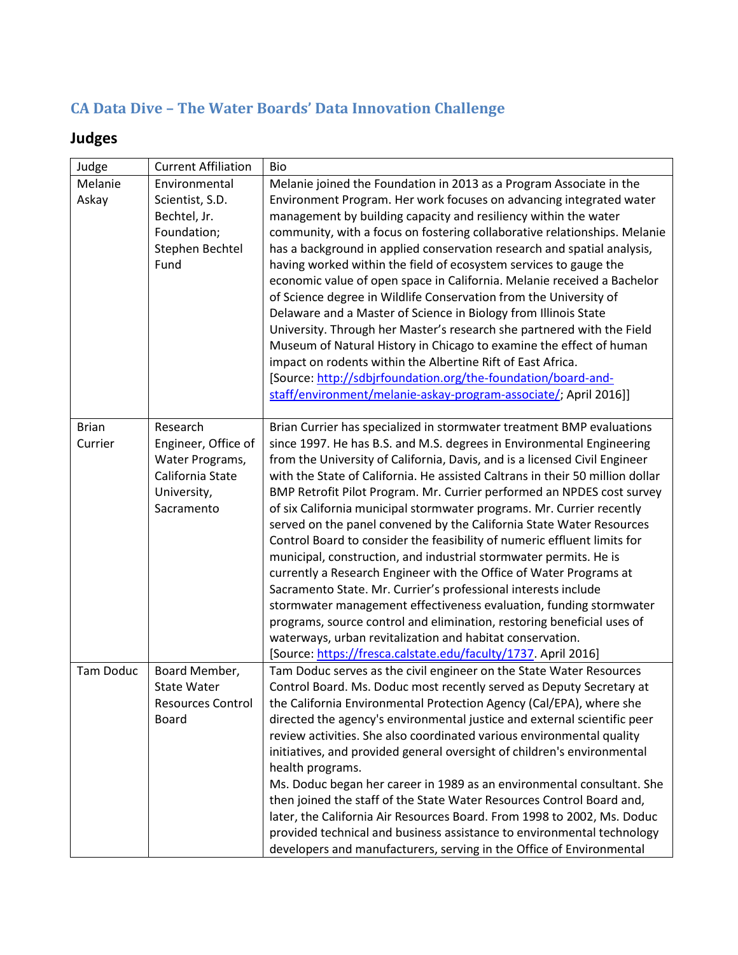## **CA Data Dive – The Water Boards' Data Innovation Challenge**

## **Judges**

| Judge            | <b>Current Affiliation</b>                                                | Bio                                                                                                                                                                                                                                                                                                                                                                                                                                                                                                                                                                                                                                                                                                                                                                                                                                                                                                                                         |
|------------------|---------------------------------------------------------------------------|---------------------------------------------------------------------------------------------------------------------------------------------------------------------------------------------------------------------------------------------------------------------------------------------------------------------------------------------------------------------------------------------------------------------------------------------------------------------------------------------------------------------------------------------------------------------------------------------------------------------------------------------------------------------------------------------------------------------------------------------------------------------------------------------------------------------------------------------------------------------------------------------------------------------------------------------|
| Melanie          | Environmental                                                             | Melanie joined the Foundation in 2013 as a Program Associate in the                                                                                                                                                                                                                                                                                                                                                                                                                                                                                                                                                                                                                                                                                                                                                                                                                                                                         |
| Askay            | Scientist, S.D.<br>Bechtel, Jr.<br>Foundation;<br>Stephen Bechtel<br>Fund | Environment Program. Her work focuses on advancing integrated water<br>management by building capacity and resiliency within the water<br>community, with a focus on fostering collaborative relationships. Melanie<br>has a background in applied conservation research and spatial analysis,<br>having worked within the field of ecosystem services to gauge the<br>economic value of open space in California. Melanie received a Bachelor<br>of Science degree in Wildlife Conservation from the University of<br>Delaware and a Master of Science in Biology from Illinois State<br>University. Through her Master's research she partnered with the Field<br>Museum of Natural History in Chicago to examine the effect of human<br>impact on rodents within the Albertine Rift of East Africa.<br>[Source: http://sdbjrfoundation.org/the-foundation/board-and-<br>staff/environment/melanie-askay-program-associate/; April 2016]] |
| <b>Brian</b>     | Research                                                                  | Brian Currier has specialized in stormwater treatment BMP evaluations                                                                                                                                                                                                                                                                                                                                                                                                                                                                                                                                                                                                                                                                                                                                                                                                                                                                       |
| Currier          | Engineer, Office of                                                       | since 1997. He has B.S. and M.S. degrees in Environmental Engineering                                                                                                                                                                                                                                                                                                                                                                                                                                                                                                                                                                                                                                                                                                                                                                                                                                                                       |
|                  | Water Programs,                                                           | from the University of California, Davis, and is a licensed Civil Engineer                                                                                                                                                                                                                                                                                                                                                                                                                                                                                                                                                                                                                                                                                                                                                                                                                                                                  |
|                  | California State                                                          | with the State of California. He assisted Caltrans in their 50 million dollar                                                                                                                                                                                                                                                                                                                                                                                                                                                                                                                                                                                                                                                                                                                                                                                                                                                               |
|                  | University,                                                               | BMP Retrofit Pilot Program. Mr. Currier performed an NPDES cost survey                                                                                                                                                                                                                                                                                                                                                                                                                                                                                                                                                                                                                                                                                                                                                                                                                                                                      |
|                  | Sacramento                                                                | of six California municipal stormwater programs. Mr. Currier recently                                                                                                                                                                                                                                                                                                                                                                                                                                                                                                                                                                                                                                                                                                                                                                                                                                                                       |
|                  |                                                                           | served on the panel convened by the California State Water Resources                                                                                                                                                                                                                                                                                                                                                                                                                                                                                                                                                                                                                                                                                                                                                                                                                                                                        |
|                  |                                                                           | Control Board to consider the feasibility of numeric effluent limits for                                                                                                                                                                                                                                                                                                                                                                                                                                                                                                                                                                                                                                                                                                                                                                                                                                                                    |
|                  |                                                                           | municipal, construction, and industrial stormwater permits. He is                                                                                                                                                                                                                                                                                                                                                                                                                                                                                                                                                                                                                                                                                                                                                                                                                                                                           |
|                  |                                                                           | currently a Research Engineer with the Office of Water Programs at                                                                                                                                                                                                                                                                                                                                                                                                                                                                                                                                                                                                                                                                                                                                                                                                                                                                          |
|                  |                                                                           | Sacramento State. Mr. Currier's professional interests include                                                                                                                                                                                                                                                                                                                                                                                                                                                                                                                                                                                                                                                                                                                                                                                                                                                                              |
|                  |                                                                           | stormwater management effectiveness evaluation, funding stormwater<br>programs, source control and elimination, restoring beneficial uses of                                                                                                                                                                                                                                                                                                                                                                                                                                                                                                                                                                                                                                                                                                                                                                                                |
|                  |                                                                           | waterways, urban revitalization and habitat conservation.                                                                                                                                                                                                                                                                                                                                                                                                                                                                                                                                                                                                                                                                                                                                                                                                                                                                                   |
|                  |                                                                           | [Source: https://fresca.calstate.edu/faculty/1737. April 2016]                                                                                                                                                                                                                                                                                                                                                                                                                                                                                                                                                                                                                                                                                                                                                                                                                                                                              |
| <b>Tam Doduc</b> | Board Member,                                                             | Tam Doduc serves as the civil engineer on the State Water Resources                                                                                                                                                                                                                                                                                                                                                                                                                                                                                                                                                                                                                                                                                                                                                                                                                                                                         |
|                  | <b>State Water</b>                                                        | Control Board. Ms. Doduc most recently served as Deputy Secretary at                                                                                                                                                                                                                                                                                                                                                                                                                                                                                                                                                                                                                                                                                                                                                                                                                                                                        |
|                  | <b>Resources Control</b>                                                  | the California Environmental Protection Agency (Cal/EPA), where she                                                                                                                                                                                                                                                                                                                                                                                                                                                                                                                                                                                                                                                                                                                                                                                                                                                                         |
|                  | <b>Board</b>                                                              | directed the agency's environmental justice and external scientific peer                                                                                                                                                                                                                                                                                                                                                                                                                                                                                                                                                                                                                                                                                                                                                                                                                                                                    |
|                  |                                                                           | review activities. She also coordinated various environmental quality                                                                                                                                                                                                                                                                                                                                                                                                                                                                                                                                                                                                                                                                                                                                                                                                                                                                       |
|                  |                                                                           | initiatives, and provided general oversight of children's environmental                                                                                                                                                                                                                                                                                                                                                                                                                                                                                                                                                                                                                                                                                                                                                                                                                                                                     |
|                  |                                                                           | health programs.                                                                                                                                                                                                                                                                                                                                                                                                                                                                                                                                                                                                                                                                                                                                                                                                                                                                                                                            |
|                  |                                                                           | Ms. Doduc began her career in 1989 as an environmental consultant. She                                                                                                                                                                                                                                                                                                                                                                                                                                                                                                                                                                                                                                                                                                                                                                                                                                                                      |
|                  |                                                                           | then joined the staff of the State Water Resources Control Board and,                                                                                                                                                                                                                                                                                                                                                                                                                                                                                                                                                                                                                                                                                                                                                                                                                                                                       |
|                  |                                                                           | later, the California Air Resources Board. From 1998 to 2002, Ms. Doduc                                                                                                                                                                                                                                                                                                                                                                                                                                                                                                                                                                                                                                                                                                                                                                                                                                                                     |
|                  |                                                                           | provided technical and business assistance to environmental technology                                                                                                                                                                                                                                                                                                                                                                                                                                                                                                                                                                                                                                                                                                                                                                                                                                                                      |
|                  |                                                                           | developers and manufacturers, serving in the Office of Environmental                                                                                                                                                                                                                                                                                                                                                                                                                                                                                                                                                                                                                                                                                                                                                                                                                                                                        |